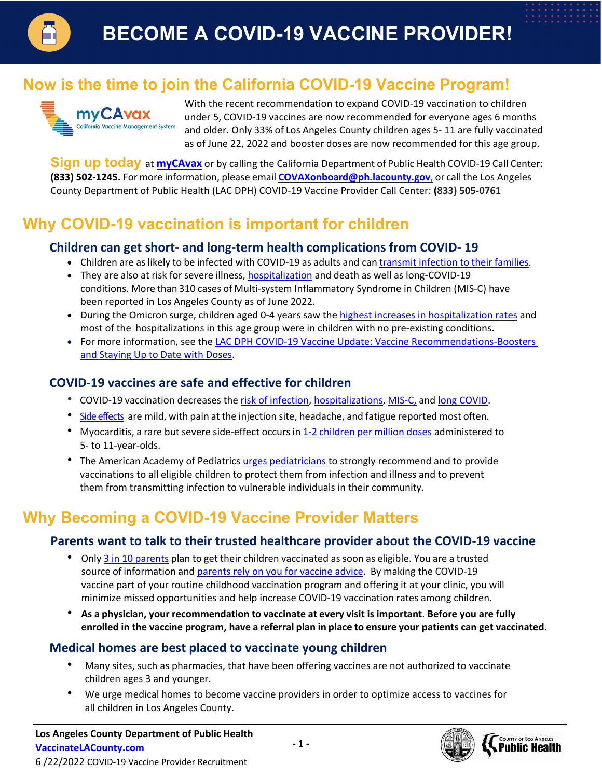

# **Now is the time to join the California COVID-19 Vaccine Program!**



With the recent recommendation to expand COVID-19 vaccination to children under 5, COVID-19 vaccines are now recommended for everyone ages 6 months and older. Only 33% of Los Angeles County children ages 5- 11 are fully vaccinated as of June 22, 2022 and booster doses are now recommended for this age group.

**Sign up today** at **[myCAvax](https://mycavax.cdph.ca.gov/s/)** or by calling the California Department of Public Health COVID-19 Call Center: **(833) 502-1245.** For more information, please email **[COVAXonboard@ph.lacounty.gov](mailto:COVAXonboard@ph.lacounty.gov)**, or call the Los Angeles County Department of Public Health (LAC DPH) COVID-19 Vaccine Provider Call Center: **(833) 505-0761**

# **Why COVID-19 vaccination is important for children**

#### **Children can get short- and long-term health complications from COVID- 19**

- Children are as likely to be infected with COVID-19 as adults and can transmit [infection](https://www.frontiersin.org/articles/10.3389/fped.2021.752993/full) to their families.
- They are also at risk for severe illness, [hospitalization](https://www.cdc.gov/mmwr/volumes/71/wr/mm7107e4.htm) and death as well as long-COVID-19 [conditions.](https://data.cdc.gov/NCHS/Provisional-COVID-19-Deaths-Focus-on-Ages-0-18-Yea/nr4s-juj3) More than 310 cases of Multi-system Inflammatory Syndrome in Children (MIS-C) have been reported in Los Angeles County as of June 2022.
- During the Omicron surge, children aged 0-4 years saw the [highest increases in hospitalization rates](https://www.cdc.gov/mmwr/volumes/71/wr/mm7111e2.htm) and most of the hospitalizations in this age group were in children with no pre-existing conditions.
- For more information, see the [LAC DPH COVID-19 Vaccine Update: Vaccine Recommendations-Boosters](http://publichealth.lacounty.gov/eprp/lahan/alerts/LAHANCOVIDVaccineupdate5.24.22%20v2.pdf)  [and Staying Up to Date with Doses.](http://publichealth.lacounty.gov/eprp/lahan/alerts/LAHANCOVIDVaccineupdate5.24.22%20v2.pdf)

### **COVID-19 vaccines are safe and effective for children**

- COVID-19 vaccination decreases the risk [of infection,](https://www.cdc.gov/mmwr/volumes/71/wr/mm7109e3.htm#:%7E:text=The%20efficacy%20of%20the%20BNT162b2,years%20(1%E2%80%933).) [hospitalizations,](https://www.cdc.gov/mmwr/volumes/71/wr/mm7116e1.htm) [MIS-C,](https://www.cdc.gov/mmwr/volumes/71/wr/mm7102e1.htm) an[d long COVID.](https://www.nature.com/articles/d41586-022-00177-5#%3A%7E%3Atext%3D25%20January%202022-%2CLong%2DCOVID%20symptoms%20less%20likely%20in%20vaccinated%20people%2C%20Israeli%20data%2Chealth%20problems%20than%20unvaccinated%20people)
- [Side effects](https://www.cdc.gov/mmwr/volumes/70/wr/mm705152a1.htm) are mild, with pain at the injection site, headache, and fatigue reported most often.
- Myocarditis, a rare but severe side-effect occurs in 1-2 [children](https://www.cdc.gov/vaccines/acip/meetings/downloads/slides-2022-05-19/06-COVID-Oliver-508.pdf) per million doses administered to 5- to 11-year-olds.
- The American Academy of Pediatrics [urges pediatricians](https://publications.aap.org/pediatrics/article/149/1/e2021054332/183385/COVID-19-Vaccines-in-Children-and-Adolescents) [to strongly](https://www.cdc.gov/mmwr/volumes/71/wr/mm7111e2.htm) recommend and to provide vaccinations to all eligible children to protect them from infection and illness and to prevent them from transmitting infection to vulnerable individuals in their community.

# **Why Becoming a COVID-19 Vaccine Provider Matters**

#### **Parents want to talk to their trusted healthcare provider about the COVID-19 vaccine**

- Only 3 in 10 [parents](https://www.kff.org/coronavirus-covid-19/press-release/vaccine-monitor-6-in-10-parents-of-teens-and-one-third-of-parents-of-5-11-year-olds-say-their-child-is-vaccinated-for-covid-19-both-up-since-november/) plan to get their children vaccinated as soon as eligible. You are a trusted source of information and parents [rely on you for vaccine advice.](https://www.kff.org/coronavirus-covid-19/poll-finding/kff-covid-19-vaccine-monitor-winter-2021-update-on-parents-views-of-vaccines/#%3A%7E%3Atext%3DAs%20previous%20KFF%20research%20has%2Cabout%20the%20vaccines%20for%20children) By making the COVID-19 vaccine part of your routine childhood vaccination program and offering it at your clinic, you will minimize missed opportunities and help increase COVID-19 vaccination rates among children.
- **As a physician, your recommendation to vaccinate at every visit is important**. **Before you are fully enrolled in the vaccine program, have a referral plan in place to ensure your patients can get vaccinated.**

#### **Medical homes are best placed to vaccinate young children**

- Many sites, such as pharmacies, that have been offering vaccines are not authorized to vaccinate children ages 3 and younger.
- We urge medical homes to become vaccine providers in order to optimize access to vaccines for all children in Los Angeles County.